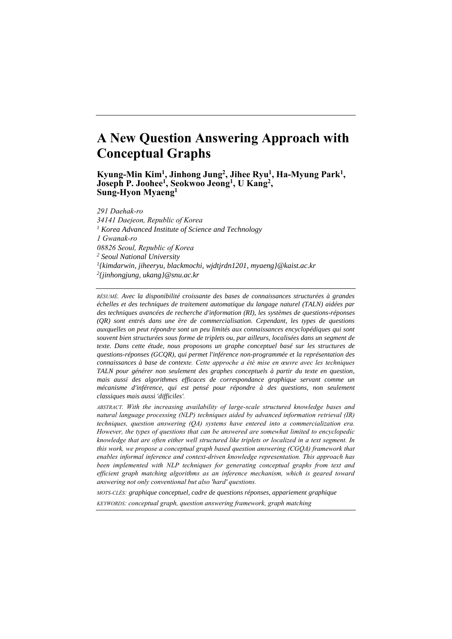# **A New Question Answering Approach with Conceptual Graphs**

**Kyung-Min Kim<sup>1</sup> , Jinhong Jung<sup>2</sup> , Jihee Ryu<sup>1</sup> , Ha-Myung Park<sup>1</sup> , Joseph P. Joohee<sup>1</sup> , Seokwoo Jeong<sup>1</sup> , U Kang<sup>2</sup> , Sung-Hyon Myaeng<sup>1</sup>**

*291 Daehak-ro 34141 Daejeon, Republic of Korea <sup>1</sup> Korea Advanced Institute of Science and Technology 1 Gwanak-ro 08826 Seoul, Republic of Korea <sup>2</sup> Seoul National University 1 {kimdarwin, jiheeryu, blackmochi, wjdtjrdn1201, myaeng}@kaist.ac.kr 2 {jinhongjung, ukang}@snu.ac.kr*

*RÉSUMÉ. Avec la disponibilité croissante des bases de connaissances structurées à grandes échelles et des techniques de traitement automatique du langage naturel (TALN) aidées par des techniques avancées de recherche d'information (RI), les systèmes de questions-réponses (QR) sont entrés dans une ère de commercialisation. Cependant, les types de questions auxquelles on peut répondre sont un peu limités aux connaissances encyclopédiques qui sont souvent bien structurées sous forme de triplets ou, par ailleurs, localisées dans un segment de texte. Dans cette étude, nous proposons un graphe conceptuel basé sur les structures de questions-réponses (GCQR), qui permet l'inférence non-programmée et la représentation des connaissances à base de contexte. Cette approche a été mise en œuvre avec les techniques TALN pour générer non seulement des graphes conceptuels à partir du texte en question, mais aussi des algorithmes efficaces de correspondance graphique servant comme un mécanisme d'inférence, qui est pensé pour répondre à des questions, non seulement classiques mais aussi 'difficiles'.*

*ABSTRACT. With the increasing availability of large-scale structured knowledge bases and natural language processing (NLP) techniques aided by advanced information retrieval (IR) techniques, question answering (QA) systems have entered into a commercialization era. However, the types of questions that can be answered are somewhat limited to encyclopedic knowledge that are often either well structured like triplets or localized in a text segment. In this work, we propose a conceptual graph based question answering (CGQA) framework that enables informal inference and context-driven knowledge representation. This approach has been implemented with NLP techniques for generating conceptual graphs from text and efficient graph matching algorithms as an inference mechanism, which is geared toward answering not only conventional but also 'hard' questions.* 

*MOTS-CLÉS: graphique conceptuel, cadre de questions réponses, appariement graphique KEYWORDS: conceptual graph, question answering framework, graph matching*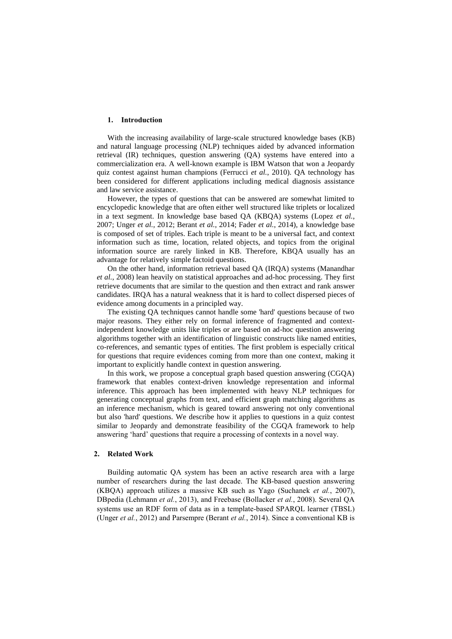# **1. Introduction**

With the increasing availability of large-scale structured knowledge bases (KB) and natural language processing (NLP) techniques aided by advanced information retrieval (IR) techniques, question answering (QA) systems have entered into a commercialization era. A well-known example is IBM Watson that won a Jeopardy quiz contest against human champions (Ferrucci *et al.*, 2010). QA technology has been considered for different applications including medical diagnosis assistance and law service assistance.

However, the types of questions that can be answered are somewhat limited to encyclopedic knowledge that are often either well structured like triplets or localized in a text segment. In knowledge base based QA (KBQA) systems (Lopez *et al.*, 2007; Unger *et al.*, 2012; Berant *et al.*, 2014; Fader *et al.*, 2014), a knowledge base is composed of set of triples. Each triple is meant to be a universal fact, and context information such as time, location, related objects, and topics from the original information source are rarely linked in KB. Therefore, KBQA usually has an advantage for relatively simple factoid questions.

On the other hand, information retrieval based QA (IRQA) systems (Manandhar *et al.*, 2008) lean heavily on statistical approaches and ad-hoc processing. They first retrieve documents that are similar to the question and then extract and rank answer candidates. IRQA has a natural weakness that it is hard to collect dispersed pieces of evidence among documents in a principled way.

The existing QA techniques cannot handle some 'hard' questions because of two major reasons. They either rely on formal inference of fragmented and contextindependent knowledge units like triples or are based on ad-hoc question answering algorithms together with an identification of linguistic constructs like named entities, co-references, and semantic types of entities. The first problem is especially critical for questions that require evidences coming from more than one context, making it important to explicitly handle context in question answering.

In this work, we propose a conceptual graph based question answering (CGQA) framework that enables context-driven knowledge representation and informal inference. This approach has been implemented with heavy NLP techniques for generating conceptual graphs from text, and efficient graph matching algorithms as an inference mechanism, which is geared toward answering not only conventional but also 'hard' questions. We describe how it applies to questions in a quiz contest similar to Jeopardy and demonstrate feasibility of the CGQA framework to help answering 'hard' questions that require a processing of contexts in a novel way.

## **2. Related Work**

Building automatic QA system has been an active research area with a large number of researchers during the last decade. The KB-based question answering (KBQA) approach utilizes a massive KB such as Yago (Suchanek *et al.*, 2007), DBpedia (Lehmann *et al.*, 2013), and Freebase (Bollacker *et al.*, 2008). Several QA systems use an RDF form of data as in a template-based SPARQL learner (TBSL) (Unger *et al.*, 2012) and Parsempre (Berant *et al.*, 2014). Since a conventional KB is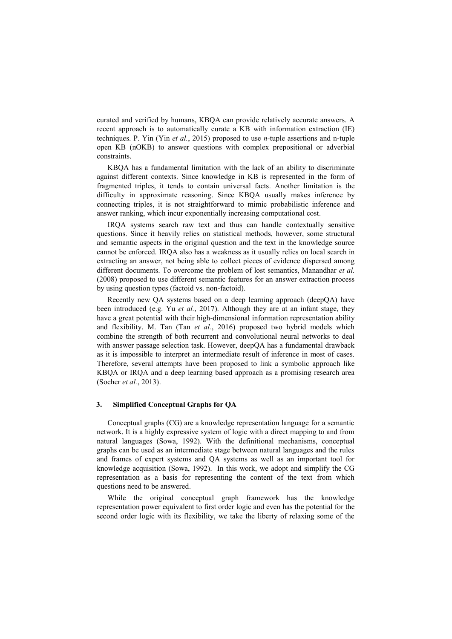curated and verified by humans, KBQA can provide relatively accurate answers. A recent approach is to automatically curate a KB with information extraction (IE) techniques. P. Yin (Yin *et al.*, 2015) proposed to use *n-*tuple assertions and n-tuple open KB (nOKB) to answer questions with complex prepositional or adverbial constraints.

KBQA has a fundamental limitation with the lack of an ability to discriminate against different contexts. Since knowledge in KB is represented in the form of fragmented triples, it tends to contain universal facts. Another limitation is the difficulty in approximate reasoning. Since KBQA usually makes inference by connecting triples, it is not straightforward to mimic probabilistic inference and answer ranking, which incur exponentially increasing computational cost.

IRQA systems search raw text and thus can handle contextually sensitive questions. Since it heavily relies on statistical methods, however, some structural and semantic aspects in the original question and the text in the knowledge source cannot be enforced. IRQA also has a weakness as it usually relies on local search in extracting an answer, not being able to collect pieces of evidence dispersed among different documents. To overcome the problem of lost semantics, Manandhar *et al.* (2008) proposed to use different semantic features for an answer extraction process by using question types (factoid vs. non-factoid).

Recently new QA systems based on a deep learning approach (deepQA) have been introduced (e.g. Yu *et al.*, 2017). Although they are at an infant stage, they have a great potential with their high-dimensional information representation ability and flexibility. M. Tan (Tan *et al.*, 2016) proposed two hybrid models which combine the strength of both recurrent and convolutional neural networks to deal with answer passage selection task. However, deepQA has a fundamental drawback as it is impossible to interpret an intermediate result of inference in most of cases. Therefore, several attempts have been proposed to link a symbolic approach like KBQA or IRQA and a deep learning based approach as a promising research area (Socher *et al.*, 2013).

## **3. Simplified Conceptual Graphs for QA**

Conceptual graphs (CG) are a knowledge representation language for a semantic network. It is a highly expressive system of logic with a direct mapping to and from natural languages (Sowa, 1992). With the definitional mechanisms, conceptual graphs can be used as an intermediate stage between natural languages and the rules and frames of expert systems and QA systems as well as an important tool for knowledge acquisition (Sowa, 1992). In this work, we adopt and simplify the CG representation as a basis for representing the content of the text from which questions need to be answered.

While the original conceptual graph framework has the knowledge representation power equivalent to first order logic and even has the potential for the second order logic with its flexibility, we take the liberty of relaxing some of the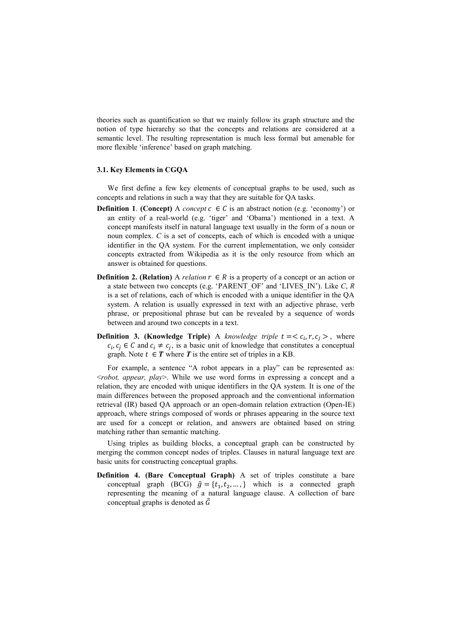theories such as quantification so that we mainly follow its graph structure and the notion of type hierarchy so that the concepts and relations are considered at a semantic level. The resulting representation is much less formal but amenable for more flexible 'inference' based on graph matching.

### **3.1. Key Elements in CGQA**

We first define a few key elements of conceptual graphs to be used, such as concepts and relations in such a way that they are suitable for QA tasks.

- **Definition 1. (Concept)** A *concept*  $c \in C$  is an abstract notion (e.g. 'economy') or an entity of a real-world (e.g. 'tiger' and 'Obama') mentioned in a text. A concept manifests itself in natural language text usually in the form of a noun or noun complex. *C* is a set of concepts, each of which is encoded with a unique identifier in the QA system. For the current implementation, we only consider concepts extracted from Wikipedia as it is the only resource from which an answer is obtained for questions.
- **Definition 2. (Relation)** A *relation*  $r \in R$  is a property of a concept or an action or a state between two concepts (e.g. 'PARENT\_OF' and 'LIVES\_IN'). Like *C*, *R* is a set of relations, each of which is encoded with a unique identifier in the QA system. A relation is usually expressed in text with an adjective phrase, verb phrase, or prepositional phrase but can be revealed by a sequence of words between and around two concepts in a text.
- **Definition 3. (Knowledge Triple)** A *knowledge triple*  $t = < c_i, r, c_j >$ , where  $c_i, c_j \in C$  and  $c_i \neq c_j$ , is a basic unit of knowledge that constitutes a conceptual graph. Note  $t \in T$  where T is the entire set of triples in a KB.

For example, a sentence "A robot appears in a play" can be represented as: <*robot, appear, play*>. While we use word forms in expressing a concept and a relation, they are encoded with unique identifiers in the QA system. It is one of the main differences between the proposed approach and the conventional information retrieval (IR) based QA approach or an open-domain relation extraction (Open-IE) approach, where strings composed of words or phrases appearing in the source text are used for a concept or relation, and answers are obtained based on string matching rather than semantic matching.

Using triples as building blocks, a conceptual graph can be constructed by merging the common concept nodes of triples. Clauses in natural language text are basic units for constructing conceptual graphs.

**Definition 4. (Bare Conceptual Graph)** A set of triples constitute a bare conceptual graph (BCG)  $\hat{g} = \{t_1, t_2, \dots, \}$  which is a connected graph representing the meaning of a natural language clause. A collection of bare conceptual graphs is denoted as  $\hat{G}$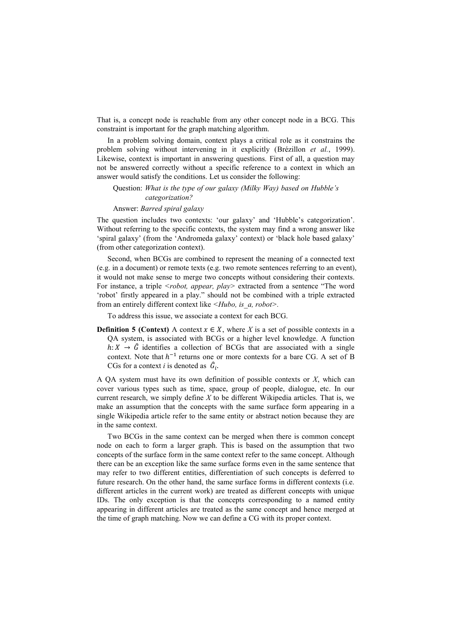That is, a concept node is reachable from any other concept node in a BCG. This constraint is important for the graph matching algorithm.

In a problem solving domain, context plays a critical role as it constrains the problem solving without intervening in it explicitly (Brézillon *et al.*, 1999). Likewise, context is important in answering questions. First of all, a question may not be answered correctly without a specific reference to a context in which an answer would satisfy the conditions. Let us consider the following:

Question: *What is the type of our galaxy (Milky Way) based on Hubble's categorization?*

Answer: *Barred spiral galaxy*

The question includes two contexts: 'our galaxy' and 'Hubble's categorization'. Without referring to the specific contexts, the system may find a wrong answer like 'spiral galaxy' (from the 'Andromeda galaxy' context) or 'black hole based galaxy' (from other categorization context).

Second, when BCGs are combined to represent the meaning of a connected text (e.g. in a document) or remote texts (e.g. two remote sentences referring to an event), it would not make sense to merge two concepts without considering their contexts. For instance, a triple *<robot, appear, play>* extracted from a sentence "The word 'robot' firstly appeared in a play." should not be combined with a triple extracted from an entirely different context like *<Hubo, is\_a, robot>.*

To address this issue, we associate a context for each BCG.

**Definition 5 (Context)** A context  $x \in X$ , where X is a set of possible contexts in a QA system, is associated with BCGs or a higher level knowledge. A function  $h: X \rightarrow \hat{G}$  identifies a collection of BCGs that are associated with a single context. Note that  $h^{-1}$  returns one or more contexts for a bare CG. A set of B CGs for a context *i* is denoted as  $\hat{G}_i$ .

A QA system must have its own definition of possible contexts or *X*, which can cover various types such as time, space, group of people, dialogue, etc. In our current research, we simply define *X* to be different Wikipedia articles. That is, we make an assumption that the concepts with the same surface form appearing in a single Wikipedia article refer to the same entity or abstract notion because they are in the same context.

Two BCGs in the same context can be merged when there is common concept node on each to form a larger graph. This is based on the assumption that two concepts of the surface form in the same context refer to the same concept. Although there can be an exception like the same surface forms even in the same sentence that may refer to two different entities, differentiation of such concepts is deferred to future research. On the other hand, the same surface forms in different contexts (i.e. different articles in the current work) are treated as different concepts with unique IDs. The only exception is that the concepts corresponding to a named entity appearing in different articles are treated as the same concept and hence merged at the time of graph matching. Now we can define a CG with its proper context.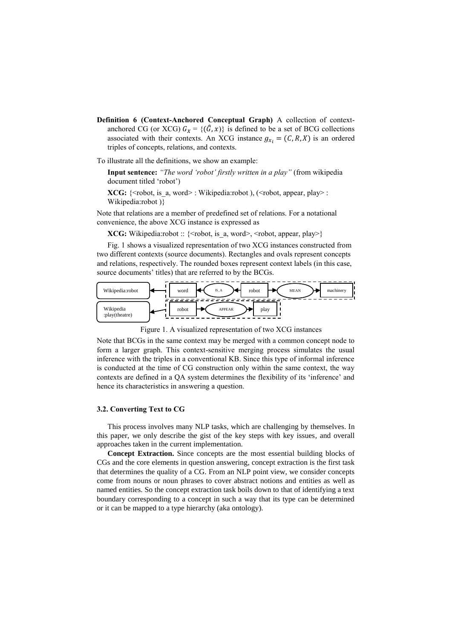**Definition 6 (Context-Anchored Conceptual Graph)** A collection of contextanchored CG (or XCG)  $G_x = \{(\hat{G}, x)\}\)$  is defined to be a set of BCG collections associated with their contexts. An XCG instance  $g_{x_i} = (C, R, X)$  is an ordered triples of concepts, relations, and contexts.

To illustrate all the definitions, we show an example:

**Input sentence:** *"The word 'robot' firstly written in a play"* (from wikipedia document titled 'robot')

**XCG:** {<robot, is a, word> : Wikipedia:robot ), (<robot, appear, play> : Wikipedia:robot )}

Note that relations are a member of predefined set of relations. For a notational convenience, the above XCG instance is expressed as

**XCG:** Wikipedia:robot :: {<robot, is a, word>, <robot, appear, play>}

Fig. 1 shows a visualized representation of two XCG instances constructed from two different contexts (source documents). Rectangles and ovals represent concepts and relations, respectively. The rounded boxes represent context labels (in this case, source documents' titles) that are referred to by the BCGs.



Figure 1. A visualized representation of two XCG instances

Note that BCGs in the same context may be merged with a common concept node to form a larger graph. This context-sensitive merging process simulates the usual inference with the triples in a conventional KB. Since this type of informal inference is conducted at the time of CG construction only within the same context, the way contexts are defined in a QA system determines the flexibility of its 'inference' and hence its characteristics in answering a question.

## **3.2. Converting Text to CG**

This process involves many NLP tasks, which are challenging by themselves. In this paper, we only describe the gist of the key steps with key issues, and overall approaches taken in the current implementation.

**Concept Extraction.** Since concepts are the most essential building blocks of CGs and the core elements in question answering, concept extraction is the first task that determines the quality of a CG. From an NLP point view, we consider concepts come from nouns or noun phrases to cover abstract notions and entities as well as named entities. So the concept extraction task boils down to that of identifying a text boundary corresponding to a concept in such a way that its type can be determined or it can be mapped to a type hierarchy (aka ontology).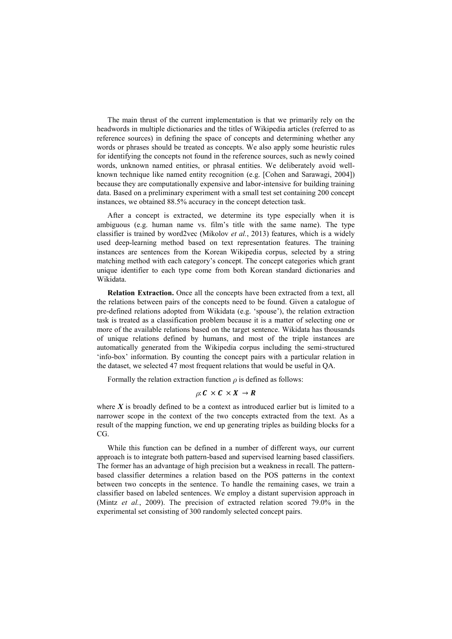The main thrust of the current implementation is that we primarily rely on the headwords in multiple dictionaries and the titles of Wikipedia articles (referred to as reference sources) in defining the space of concepts and determining whether any words or phrases should be treated as concepts. We also apply some heuristic rules for identifying the concepts not found in the reference sources, such as newly coined words, unknown named entities, or phrasal entities. We deliberately avoid wellknown technique like named entity recognition (e.g. [Cohen and Sarawagi, 2004]) because they are computationally expensive and labor-intensive for building training data. Based on a preliminary experiment with a small test set containing 200 concept instances, we obtained 88.5% accuracy in the concept detection task.

After a concept is extracted, we determine its type especially when it is ambiguous (e.g. human name vs. film's title with the same name). The type classifier is trained by word2vec (Mikolov *et al.*, 2013) features, which is a widely used deep-learning method based on text representation features. The training instances are sentences from the Korean Wikipedia corpus, selected by a string matching method with each category's concept. The concept categories which grant unique identifier to each type come from both Korean standard dictionaries and Wikidata.

**Relation Extraction.** Once all the concepts have been extracted from a text, all the relations between pairs of the concepts need to be found. Given a catalogue of pre-defined relations adopted from Wikidata (e.g. 'spouse'), the relation extraction task is treated as a classification problem because it is a matter of selecting one or more of the available relations based on the target sentence. Wikidata has thousands of unique relations defined by humans, and most of the triple instances are automatically generated from the Wikipedia corpus including the semi-structured 'info-box' information. By counting the concept pairs with a particular relation in the dataset, we selected 47 most frequent relations that would be useful in QA.

Formally the relation extraction function  $\rho$  is defined as follows:

# $\rho: C \times C \times X \rightarrow R$

where  $X$  is broadly defined to be a context as introduced earlier but is limited to a narrower scope in the context of the two concepts extracted from the text. As a result of the mapping function, we end up generating triples as building blocks for a CG.

While this function can be defined in a number of different ways, our current approach is to integrate both pattern-based and supervised learning based classifiers. The former has an advantage of high precision but a weakness in recall. The patternbased classifier determines a relation based on the POS patterns in the context between two concepts in the sentence. To handle the remaining cases, we train a classifier based on labeled sentences. We employ a distant supervision approach in (Mintz *et al.*, 2009). The precision of extracted relation scored 79.0% in the experimental set consisting of 300 randomly selected concept pairs.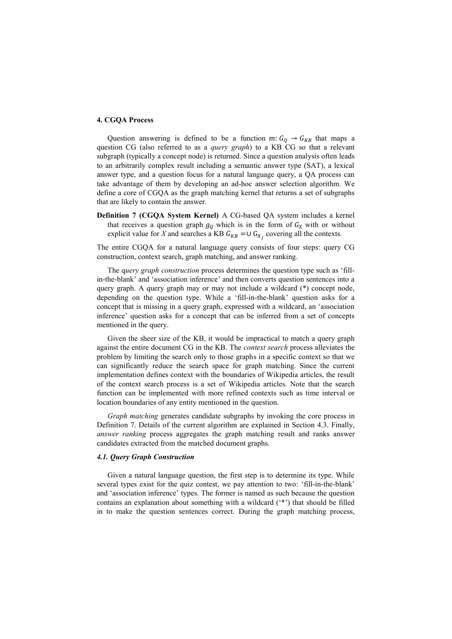# **4. CGQA Process**

Question answering is defined to be a function  $m: G_Q \rightarrow G_{KB}$  that maps a question CG (also referred to as a *query graph*) to a KB CG so that a relevant subgraph (typically a concept node) is returned. Since a question analysis often leads to an arbitrarily complex result including a semantic answer type (SAT), a lexical answer type, and a question focus for a natural language query, a QA process can take advantage of them by developing an ad-hoc answer selection algorithm. We define a core of CGQA as the graph matching kernel that returns a set of subgraphs that are likely to contain the answer.

**Definition 7 (CGQA System Kernel)** A CG-based QA system includes a kernel that receives a question graph  $g_{\mathcal{Q}}$  which is in the form of  $G_X$  with or without explicit value for *X* and searches a KB  $G_{KB} = \cup G_{X_j}$  covering all the contexts.

The entire CGQA for a natural language query consists of four steps: query CG construction, context search, graph matching, and answer ranking.

The q*uery graph construction* process determines the question type such as 'fillin-the-blank' and 'association inference' and then converts question sentences into a query graph. A query graph may or may not include a wildcard (\*) concept node, depending on the question type. While a 'fill-in-the-blank' question asks for a concept that is missing in a query graph, expressed with a wildcard, an 'association inference' question asks for a concept that can be inferred from a set of concepts mentioned in the query.

Given the sheer size of the KB, it would be impractical to match a query graph against the entire document CG in the KB. The *context search* process alleviates the problem by limiting the search only to those graphs in a specific context so that we can significantly reduce the search space for graph matching. Since the current implementation defines context with the boundaries of Wikipedia articles, the result of the context search process is a set of Wikipedia articles. Note that the search function can be implemented with more refined contexts such as time interval or location boundaries of any entity mentioned in the question.

*Graph matching* generates candidate subgraphs by invoking the core process in Definition 7. Details of the current algorithm are explained in Section 4.3. Finally, *answer ranking* process aggregates the graph matching result and ranks answer candidates extracted from the matched document graphs.

#### *4.1. Query Graph Construction*

Given a natural language question, the first step is to determine its type. While several types exist for the quiz contest, we pay attention to two: 'fill-in-the-blank' and 'association inference' types. The former is named as such because the question contains an explanation about something with a wildcard ('\*') that should be filled in to make the question sentences correct. During the graph matching process,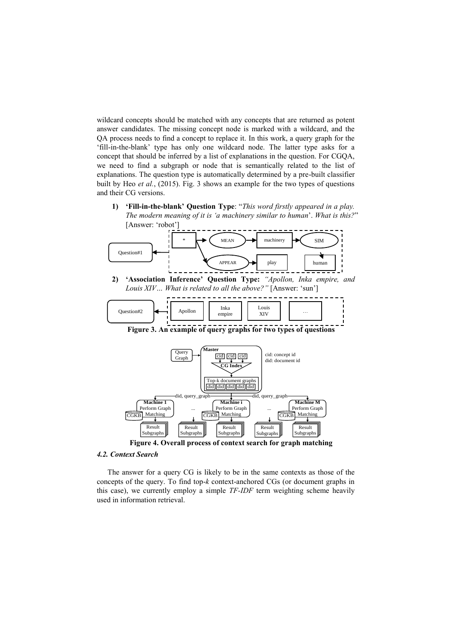wildcard concepts should be matched with any concepts that are returned as potent answer candidates. The missing concept node is marked with a wildcard, and the QA process needs to find a concept to replace it. In this work, a query graph for the 'fill-in-the-blank' type has only one wildcard node. The latter type asks for a concept that should be inferred by a list of explanations in the question. For CGQA, we need to find a subgraph or node that is semantically related to the list of explanations. The question type is automatically determined by a pre-built classifier built by Heo *et al.*, (2015). Fig. 3 shows an example for the two types of questions and their CG versions.

**1) 'Fill-in-the-blank' Question Type**: "*This word firstly appeared in a play. The modern meaning of it is 'a machinery similar to human*'. *What is this?*" [Answer: 'robot']



**Machine 1** Perform Graph **Machine 1**<br> **Machine ... Machine i** Perform Graph **and A** Perform Graph Matching **Machine M CGKB** Matching CGKB Matching CGKB Matching CGKB Matching

**Figure 4. Overall process of context search for graph matching** Result Result Result Result Result Result Subgraphs Result Subgraphs Result Subgraphs Result Subgraphs Result

## *4.2. Context Search*

Result

The answer for a query CG is likely to be in the same contexts as those of the concepts of the query. To find top-*k* context-anchored CGs (or document graphs in this case), we currently employ a simple *TF-IDF* term weighting scheme heavily used in information retrieval.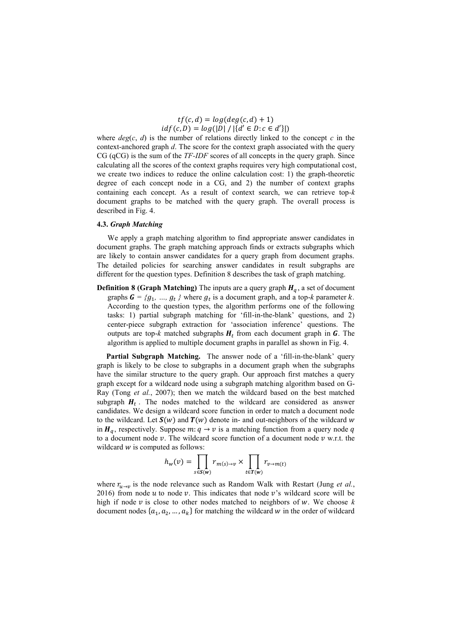$tf(c, d) = log(deg(c, d) + 1)$  $idf(c, D) = log(|D| / |\{d' \in D : c \in d'\}|)$ 

where  $deg(c, d)$  is the number of relations directly linked to the concept  $c$  in the context-anchored graph *d*. The score for the context graph associated with the query CG (qCG) is the sum of the *TF-IDF* scores of all concepts in the query graph. Since calculating all the scores of the context graphs requires very high computational cost, we create two indices to reduce the online calculation cost: 1) the graph-theoretic degree of each concept node in a CG, and 2) the number of context graphs containing each concept. As a result of context search, we can retrieve top*-k* document graphs to be matched with the query graph. The overall process is described in Fig. 4.

## **4.3.** *Graph Matching*

We apply a graph matching algorithm to find appropriate answer candidates in document graphs. The graph matching approach finds or extracts subgraphs which are likely to contain answer candidates for a query graph from document graphs. The detailed policies for searching answer candidates in result subgraphs are different for the question types. Definition 8 describes the task of graph matching.

**Definition 8 (Graph Matching)** The inputs are a query graph  $H_q$ , a set of document graphs  $G = \{g_1, ..., g_t\}$  where  $g_t$  is a document graph, and a top-*k* parameter *k*. According to the question types, the algorithm performs one of the following tasks: 1) partial subgraph matching for 'fill-in-the-blank' questions, and 2) center-piece subgraph extraction for 'association inference' questions. The outputs are top- $k$  matched subgraphs  $H_t$  from each document graph in  $G$ . The algorithm is applied to multiple document graphs in parallel as shown in Fig. 4.

 **Partial Subgraph Matching.** The answer node of a 'fill-in-the-blank' query graph is likely to be close to subgraphs in a document graph when the subgraphs have the similar structure to the query graph. Our approach first matches a query graph except for a wildcard node using a subgraph matching algorithm based on G-Ray (Tong *et al.*, 2007); then we match the wildcard based on the best matched subgraph  $H_t$ . The nodes matched to the wildcard are considered as answer candidates. We design a wildcard score function in order to match a document node to the wildcard. Let  $S(w)$  and  $T(w)$  denote in- and out-neighbors of the wildcard w in  $H_a$ , respectively. Suppose  $m: q \to v$  is a matching function from a query node q to a document node  $\nu$ . The wildcard score function of a document node  $\nu$  w.r.t. the wildcard  $w$  is computed as follows:

$$
h_w(v) = \prod_{s \in S(w)} r_{m(s) \to v} \times \prod_{t \in T(w)} r_{v \to m(t)}
$$

where  $r_{u\to v}$  is the node relevance such as Random Walk with Restart (Jung *et al.*, 2016) from node  $u$  to node  $v$ . This indicates that node  $v$ 's wildcard score will be high if node  $v$  is close to other nodes matched to neighbors of  $w$ . We choose  $k$ document nodes  $\{a_1, a_2, ..., a_k\}$  for matching the wildcard w in the order of wildcard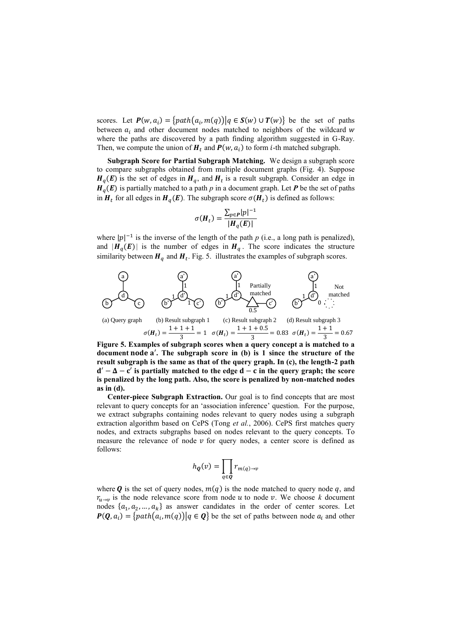scores. Let  $P(w, a_i) = \{ path(a_i, m(q)) | q \in S(w) \cup T(w) \}$  be the set of paths between  $a_i$ , and other document nodes matched to neighbors of the wildcard  $w$ where the paths are discovered by a path finding algorithm suggested in G-Ray. Then, we compute the union of  $H_t$  and  $P(w, a_i)$  to form *i*-th matched subgraph.

**Subgraph Score for Partial Subgraph Matching.** We design a subgraph score to compare subgraphs obtained from multiple document graphs (Fig. 4). Suppose  $H_q(E)$  is the set of edges in  $H_q$ , and  $H_t$  is a result subgraph. Consider an edge in  $H_q(E)$  is partially matched to a path *p* in a document graph. Let *P* be the set of paths in  $H_t$  for all edges in  $H_q(E)$ . The subgraph score  $\sigma(H_t)$  is defined as follows:

$$
\sigma(H_t) = \frac{\sum_{p \in P} |p|^{-1}}{|H_q(E)|}
$$

where  $|p|^{-1}$  is the inverse of the length of the path *p* (i.e., a long path is penalized), and  $|H_q(E)|$  is the number of edges in  $H_q$ . The score indicates the structure similarity between  $H_q$  and  $H_t$ . Fig. 5. illustrates the examples of subgraph scores.



**Figure 5. Examples of subgraph scores when a query concept is matched to a**  document node a'. The subgraph score in (b) is 1 since the structure of the **result subgraph is the same as that of the query graph. In (c), the length-2 path**   $d' - \Delta - c'$  is partially matched to the edge  $d - c$  in the query graph; the score **is penalized by the long path. Also, the score is penalized by non-matched nodes as in (d).**

**Center-piece Subgraph Extraction.** Our goal is to find concepts that are most relevant to query concepts for an 'association inference' question. For the purpose, we extract subgraphs containing nodes relevant to query nodes using a subgraph extraction algorithm based on CePS (Tong *et al.*, 2006). CePS first matches query nodes, and extracts subgraphs based on nodes relevant to the query concepts. To measure the relevance of node  $v$  for query nodes, a center score is defined as follows:

$$
h_{\boldsymbol{Q}}(v) = \prod_{q \in \boldsymbol{Q}} r_{m(q) \to v}
$$

where **Q** is the set of query nodes,  $m(q)$  is the node matched to query node q, and  $r_{u\rightarrow v}$  is the node relevance score from node u to node v. We choose k document nodes  $\{a_1, a_2, ..., a_k\}$  as answer candidates in the order of center scores. Let  $P(Q, a_i) = {path(a_i, m(q)) | q \in Q}$  be the set of paths between node  $a_i$  and other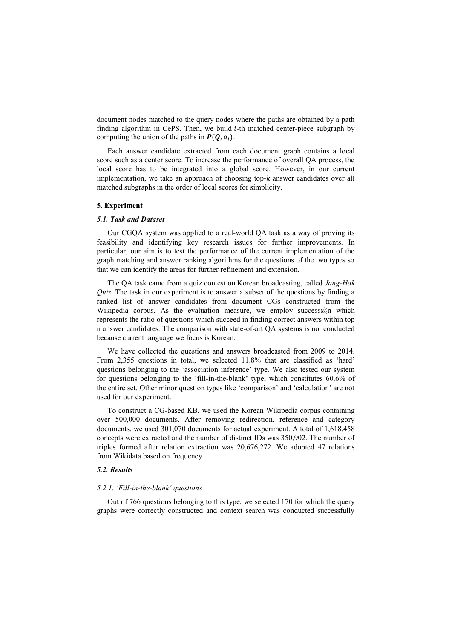document nodes matched to the query nodes where the paths are obtained by a path finding algorithm in CePS. Then, we build  $i$ -th matched center-piece subgraph by computing the union of the paths in  $P(Q, a_i)$ .

Each answer candidate extracted from each document graph contains a local score such as a center score. To increase the performance of overall QA process, the local score has to be integrated into a global score. However, in our current implementation, we take an approach of choosing top- $k$  answer candidates over all matched subgraphs in the order of local scores for simplicity.

#### **5. Experiment**

## *5.1. Task and Dataset*

Our CGQA system was applied to a real-world QA task as a way of proving its feasibility and identifying key research issues for further improvements. In particular, our aim is to test the performance of the current implementation of the graph matching and answer ranking algorithms for the questions of the two types so that we can identify the areas for further refinement and extension.

The QA task came from a quiz contest on Korean broadcasting, called *Jang-Hak Quiz*. The task in our experiment is to answer a subset of the questions by finding a ranked list of answer candidates from document CGs constructed from the Wikipedia corpus. As the evaluation measure, we employ success@n which represents the ratio of questions which succeed in finding correct answers within top n answer candidates. The comparison with state-of-art QA systems is not conducted because current language we focus is Korean.

We have collected the questions and answers broadcasted from 2009 to 2014. From 2,355 questions in total, we selected 11.8% that are classified as 'hard' questions belonging to the 'association inference' type. We also tested our system for questions belonging to the 'fill-in-the-blank' type, which constitutes 60.6% of the entire set. Other minor question types like 'comparison' and 'calculation' are not used for our experiment.

To construct a CG-based KB, we used the Korean Wikipedia corpus containing over 500,000 documents. After removing redirection, reference and category documents, we used 301,070 documents for actual experiment. A total of 1,618,458 concepts were extracted and the number of distinct IDs was 350,902. The number of triples formed after relation extraction was 20,676,272. We adopted 47 relations from Wikidata based on frequency.

# *5.2. Results*

#### *5.2.1. 'Fill-in-the-blank' questions*

Out of 766 questions belonging to this type, we selected 170 for which the query graphs were correctly constructed and context search was conducted successfully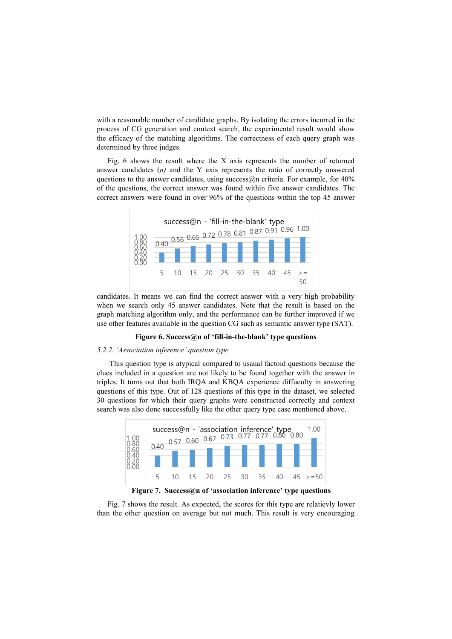with a reasonable number of candidate graphs. By isolating the errors incurred in the process of CG generation and context search, the experimental result would show the efficacy of the matching algorithms. The correctness of each query graph was determined by three judges.

Fig. 6 shows the result where the X axis represents the number of returned answer candidates (*n)* and the Y axis represents the ratio of correctly answered questions to the answer candidates, using success $\omega$ n criteria. For example, for 40% of the questions, the correct answer was found within five answer candidates. The correct answers were found in over 96% of the questions within the top 45 answer



candidates. It means we can find the correct answer with a very high probability when we search only 45 answer candidates. Note that the result is based on the graph matching algorithm only, and the performance can be further improved if we use other features available in the question CG such as semantic answer type (SAT).

## **Figure 6. Success@n of 'fill-in-the-blank' type questions**

#### *5.2.2. 'Association inference' question type*

This question type is atypical compared to usaual factoid questions because the clues included in a question are not likely to be found together with the answer in triples. It turns out that both IRQA and KBQA experience diffuculty in answering questions of this type. Out of 128 questions of this type in the dataset, we selected 30 questions for which their query graphs were constructed correctly and context search was also done successfully like the other query type case mentioned above.



Fig. 7 shows the result. As expected, the scores for this type are relatievly lower than the other question on average but not much. This result is very encouraging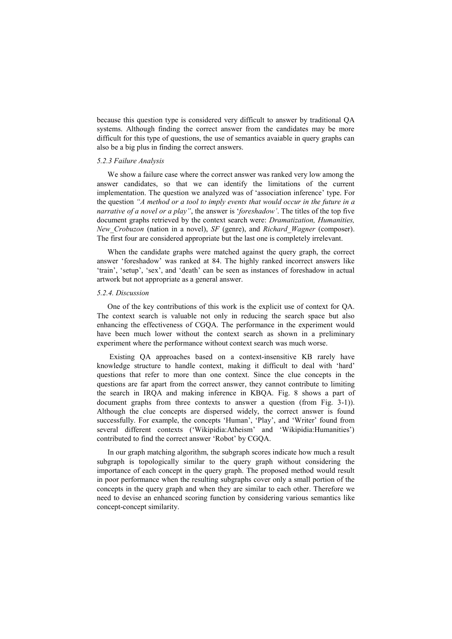because this question type is considered very difficult to answer by traditional QA systems. Although finding the correct answer from the candidates may be more difficult for this type of questions, the use of semantics avaiable in query graphs can also be a big plus in finding the correct answers.

## *5.2.3 Failure Analysis*

We show a failure case where the correct answer was ranked very low among the answer candidates, so that we can identify the limitations of the current implementation. The question we analyzed was of 'association inference' type. For the question *"A method or a tool to imply events that would occur in the future in a narrative of a novel or a play"*, the answer is '*foreshadow'*. The titles of the top five document graphs retrieved by the context search were: *Dramatization, Humanities, New\_Crobuzon* (nation in a novel), *SF* (genre), and *Richard\_Wagner* (composer). The first four are considered appropriate but the last one is completely irrelevant.

When the candidate graphs were matched against the query graph, the correct answer 'foreshadow' was ranked at 84. The highly ranked incorrect answers like 'train', 'setup', 'sex', and 'death' can be seen as instances of foreshadow in actual artwork but not appropriate as a general answer.

#### *5.2.4. Discussion*

One of the key contributions of this work is the explicit use of context for QA. The context search is valuable not only in reducing the search space but also enhancing the effectiveness of CGQA. The performance in the experiment would have been much lower without the context search as shown in a preliminary experiment where the performance without context search was much worse.

Existing QA approaches based on a context-insensitive KB rarely have knowledge structure to handle context, making it difficult to deal with 'hard' questions that refer to more than one context. Since the clue concepts in the questions are far apart from the correct answer, they cannot contribute to limiting the search in IRQA and making inference in KBQA. Fig. 8 shows a part of document graphs from three contexts to answer a question (from Fig. 3-1)). Although the clue concepts are dispersed widely, the correct answer is found successfully. For example, the concepts 'Human', 'Play', and 'Writer' found from several different contexts ('Wikipidia:Atheism' and 'Wikipidia:Humanities') contributed to find the correct answer 'Robot' by CGQA.

In our graph matching algorithm, the subgraph scores indicate how much a result subgraph is topologically similar to the query graph without considering the importance of each concept in the query graph. The proposed method would result in poor performance when the resulting subgraphs cover only a small portion of the concepts in the query graph and when they are similar to each other. Therefore we need to devise an enhanced scoring function by considering various semantics like concept-concept similarity.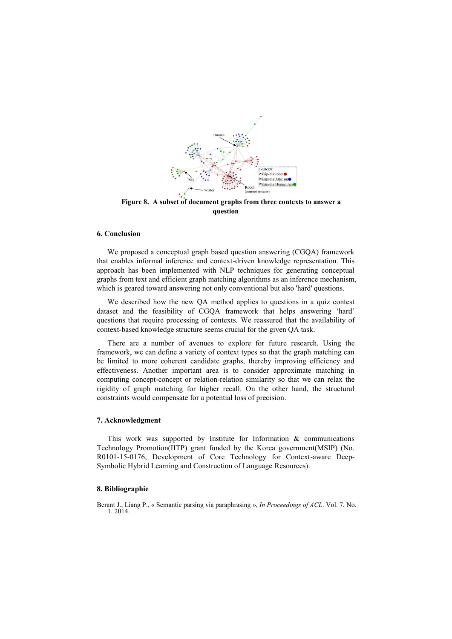

**Figure 8. A subset of document graphs from three contexts to answer a question**

#### **6. Conclusion**

We proposed a conceptual graph based question answering (CGQA) framework that enables informal inference and context-driven knowledge representation. This approach has been implemented with NLP techniques for generating conceptual graphs from text and efficient graph matching algorithms as an inference mechanism, which is geared toward answering not only conventional but also 'hard' questions.

We described how the new QA method applies to questions in a quiz contest dataset and the feasibility of CGQA framework that helps answering 'hard' questions that require processing of contexts. We reassured that the availability of context-based knowledge structure seems crucial for the given QA task.

There are a number of avenues to explore for future research. Using the framework, we can define a variety of context types so that the graph matching can be limited to more coherent candidate graphs, thereby improving efficiency and effectiveness. Another important area is to consider approximate matching in computing concept-concept or relation-relation similarity so that we can relax the rigidity of graph matching for higher recall. On the other hand, the structural constraints would compensate for a potential loss of precision.

## **7. Acknowledgment**

This work was supported by Institute for Information  $\&$  communications Technology Promotion(IITP) grant funded by the Korea government(MSIP) (No. R0101-15-0176, Development of Core Technology for Context-aware Deep-Symbolic Hybrid Learning and Construction of Language Resources).

#### **8. Bibliographie**

Berant J., Liang P., « Semantic parsing via paraphrasing », *In Proceedings of ACL*. Vol. 7, No. 1. 2014.